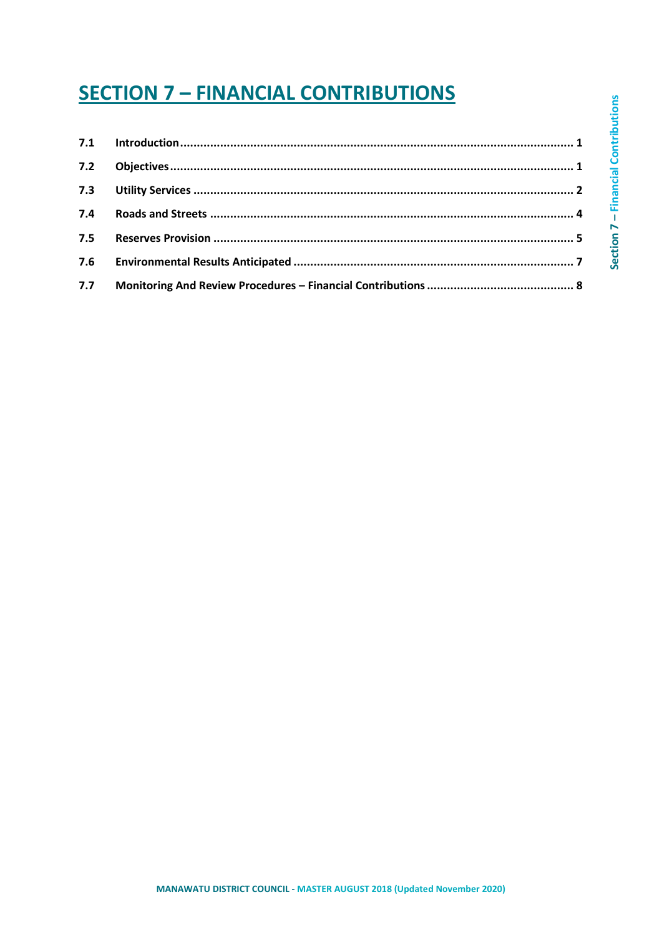# **SECTION 7 - FINANCIAL CONTRIBUTIONS**

| $7.4$ |  |
|-------|--|
| 7.5   |  |
| 7.6   |  |
| 7.7   |  |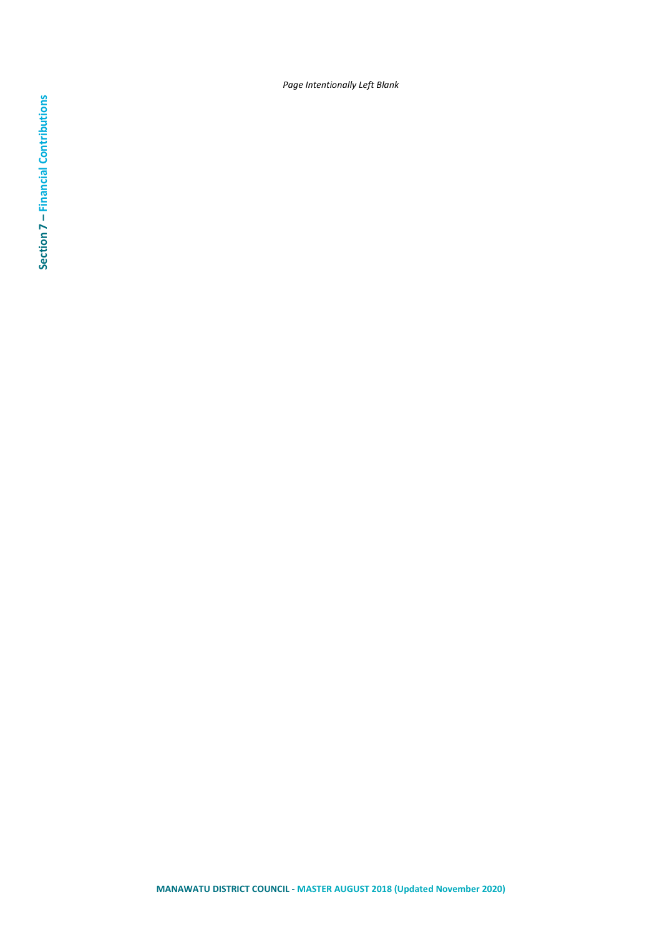*Page Intentionally Left Blank*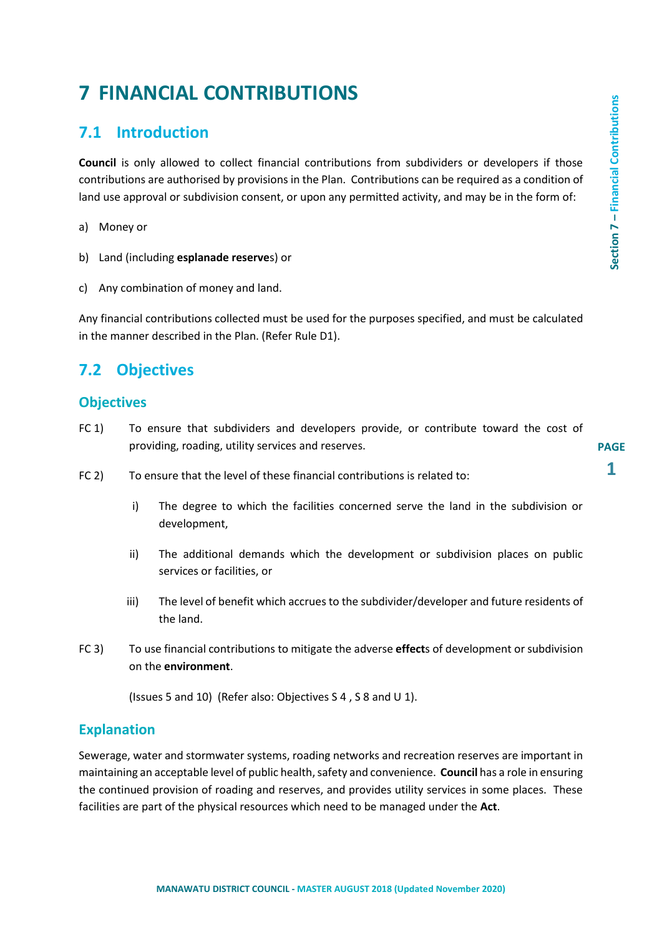**PAGE 1**

# **7 FINANCIAL CONTRIBUTIONS**

## <span id="page-2-0"></span>**7.1 Introduction**

**Council** is only allowed to collect financial contributions from subdividers or developers if those contributions are authorised by provisions in the Plan. Contributions can be required as a condition of land use approval or subdivision consent, or upon any permitted activity, and may be in the form of:

- a) Money or
- b) Land (including **esplanade reserve**s) or
- c) Any combination of money and land.

Any financial contributions collected must be used for the purposes specified, and must be calculated in the manner described in the Plan. (Refer Rule D1).

# <span id="page-2-1"></span>**7.2 Objectives**

#### **Objectives**

- FC 1) To ensure that subdividers and developers provide, or contribute toward the cost of providing, roading, utility services and reserves.
- FC 2) To ensure that the level of these financial contributions is related to:
	- i) The degree to which the facilities concerned serve the land in the subdivision or development,
	- ii) The additional demands which the development or subdivision places on public services or facilities, or
	- iii) The level of benefit which accrues to the subdivider/developer and future residents of the land.
- FC 3) To use financial contributions to mitigate the adverse **effect**s of development or subdivision on the **environment**.

(Issues 5 and 10) (Refer also: Objectives S 4 , S 8 and U 1).

#### **Explanation**

Sewerage, water and stormwater systems, roading networks and recreation reserves are important in maintaining an acceptable level of public health, safety and convenience. **Council** has a role in ensuring the continued provision of roading and reserves, and provides utility services in some places. These facilities are part of the physical resources which need to be managed under the **Act**.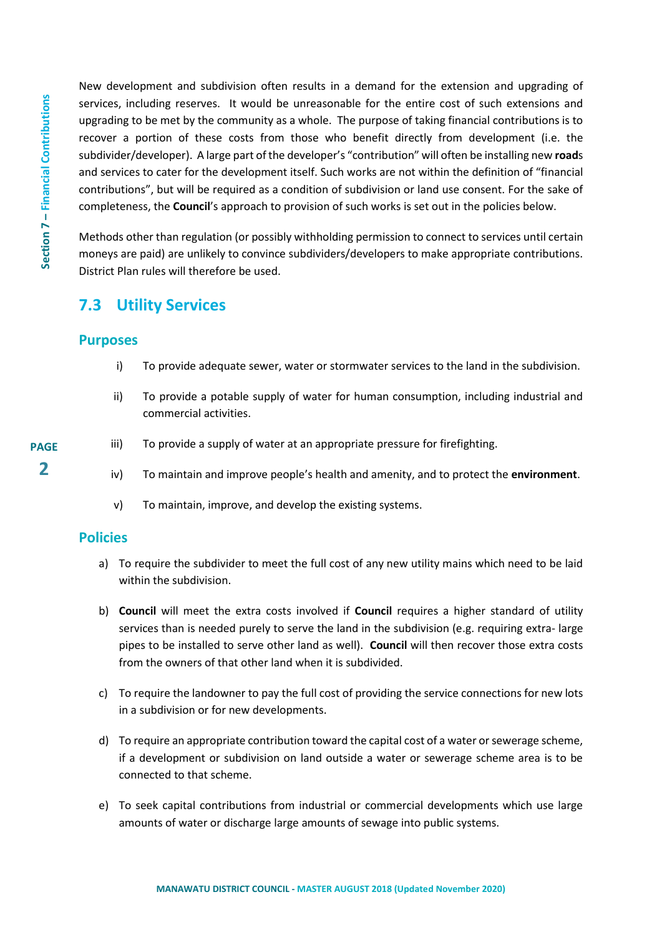**Section 7 - Financial Contributions – Financial Contributions** New development and subdivision often results in a demand for the extension and upgrading of services, including reserves. It would be unreasonable for the entire cost of such extensions and upgrading to be met by the community as a whole. The purpose of taking financial contributions is to recover a portion of these costs from those who benefit directly from development (i.e. the subdivider/developer). A large part of the developer's "contribution" will often be installing new **road**s and services to cater for the development itself. Such works are not within the definition of "financial contributions", but will be required as a condition of subdivision or land use consent. For the sake of completeness, the **Council**'s approach to provision of such works is set out in the policies below.

Methods other than regulation (or possibly withholding permission to connect to services until certain moneys are paid) are unlikely to convince subdividers/developers to make appropriate contributions. District Plan rules will therefore be used.

## <span id="page-3-0"></span>**7.3 Utility Services**

#### **Purposes**

- i) To provide adequate sewer, water or stormwater services to the land in the subdivision.
- ii) To provide a potable supply of water for human consumption, including industrial and commercial activities.
- iii) To provide a supply of water at an appropriate pressure for firefighting.
	- iv) To maintain and improve people's health and amenity, and to protect the **environment**.
	- v) To maintain, improve, and develop the existing systems.

#### **Policies**

- a) To require the subdivider to meet the full cost of any new utility mains which need to be laid within the subdivision.
- b) **Council** will meet the extra costs involved if **Council** requires a higher standard of utility services than is needed purely to serve the land in the subdivision (e.g. requiring extra- large pipes to be installed to serve other land as well). **Council** will then recover those extra costs from the owners of that other land when it is subdivided.
- c) To require the landowner to pay the full cost of providing the service connections for new lots in a subdivision or for new developments.
- d) To require an appropriate contribution toward the capital cost of a water or sewerage scheme, if a development or subdivision on land outside a water or sewerage scheme area is to be connected to that scheme.
- e) To seek capital contributions from industrial or commercial developments which use large amounts of water or discharge large amounts of sewage into public systems.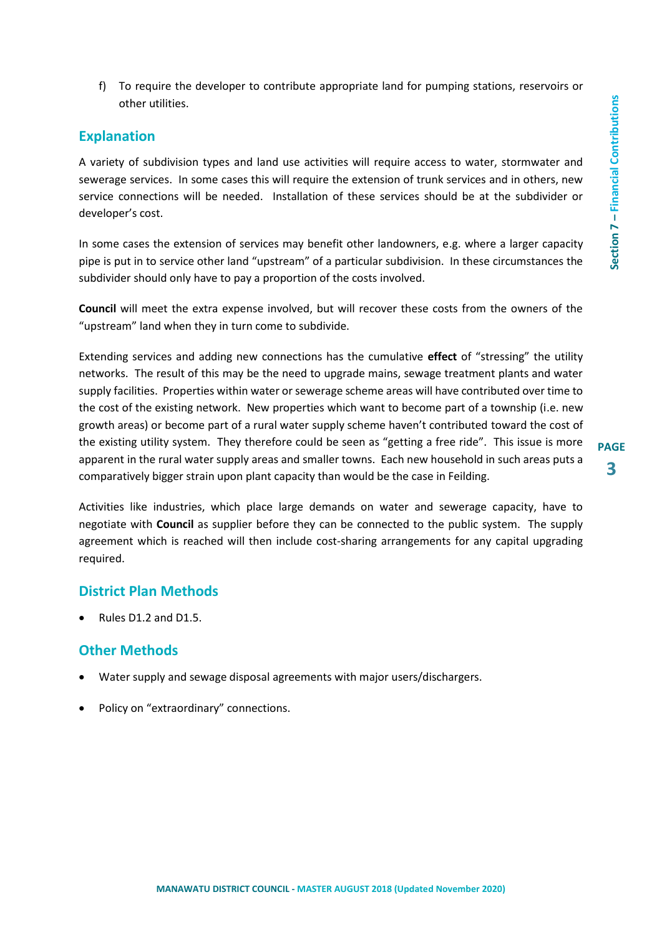f) To require the developer to contribute appropriate land for pumping stations, reservoirs or other utilities.

#### **Explanation**

A variety of subdivision types and land use activities will require access to water, stormwater and sewerage services. In some cases this will require the extension of trunk services and in others, new service connections will be needed. Installation of these services should be at the subdivider or developer's cost.

In some cases the extension of services may benefit other landowners, e.g. where a larger capacity pipe is put in to service other land "upstream" of a particular subdivision. In these circumstances the subdivider should only have to pay a proportion of the costs involved.

**Council** will meet the extra expense involved, but will recover these costs from the owners of the "upstream" land when they in turn come to subdivide.

Extending services and adding new connections has the cumulative **effect** of "stressing" the utility networks. The result of this may be the need to upgrade mains, sewage treatment plants and water supply facilities. Properties within water or sewerage scheme areas will have contributed over time to the cost of the existing network. New properties which want to become part of a township (i.e. new growth areas) or become part of a rural water supply scheme haven't contributed toward the cost of the existing utility system. They therefore could be seen as "getting a free ride". This issue is more apparent in the rural water supply areas and smaller towns. Each new household in such areas puts a comparatively bigger strain upon plant capacity than would be the case in Feilding.

Activities like industries, which place large demands on water and sewerage capacity, have to negotiate with **Council** as supplier before they can be connected to the public system. The supply agreement which is reached will then include cost-sharing arrangements for any capital upgrading required.

#### **District Plan Methods**

• Rules D1.2 and D1.5.

#### **Other Methods**

- Water supply and sewage disposal agreements with major users/dischargers.
- Policy on "extraordinary" connections.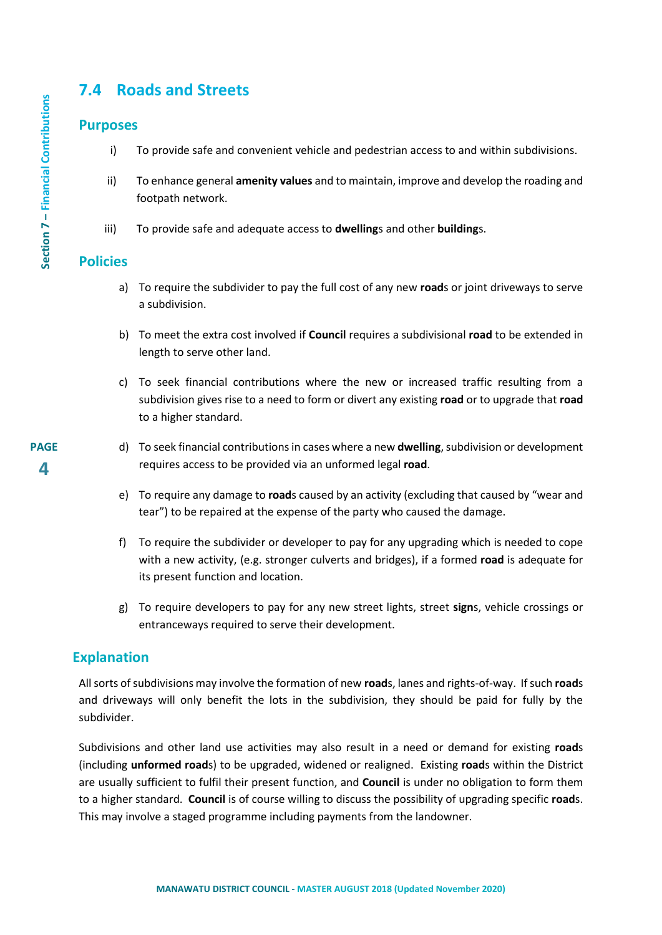# <span id="page-5-0"></span>**7.4 Roads and Streets**

#### **Purposes**

- i) To provide safe and convenient vehicle and pedestrian access to and within subdivisions.
- ii) To enhance general **amenity values** and to maintain, improve and develop the roading and footpath network.
- iii) To provide safe and adequate access to **dwelling**s and other **building**s.

#### **Policies**

- a) To require the subdivider to pay the full cost of any new **road**s or joint driveways to serve a subdivision.
- b) To meet the extra cost involved if **Council** requires a subdivisional **road** to be extended in length to serve other land.
- c) To seek financial contributions where the new or increased traffic resulting from a subdivision gives rise to a need to form or divert any existing **road** or to upgrade that **road** to a higher standard.
- d) To seek financial contributions in cases where a new **dwelling**, subdivision or development requires access to be provided via an unformed legal **road**.
- e) To require any damage to **road**s caused by an activity (excluding that caused by "wear and tear") to be repaired at the expense of the party who caused the damage.
- f) To require the subdivider or developer to pay for any upgrading which is needed to cope with a new activity, (e.g. stronger culverts and bridges), if a formed **road** is adequate for its present function and location.
- g) To require developers to pay for any new street lights, street **sign**s, vehicle crossings or entranceways required to serve their development.

## **Explanation**

All sorts of subdivisions may involve the formation of new **road**s, lanes and rights-of-way. If such **road**s and driveways will only benefit the lots in the subdivision, they should be paid for fully by the subdivider.

Subdivisions and other land use activities may also result in a need or demand for existing **road**s (including **unformed road**s) to be upgraded, widened or realigned. Existing **road**s within the District are usually sufficient to fulfil their present function, and **Council** is under no obligation to form them to a higher standard. **Council** is of course willing to discuss the possibility of upgrading specific **road**s. This may involve a staged programme including payments from the landowner.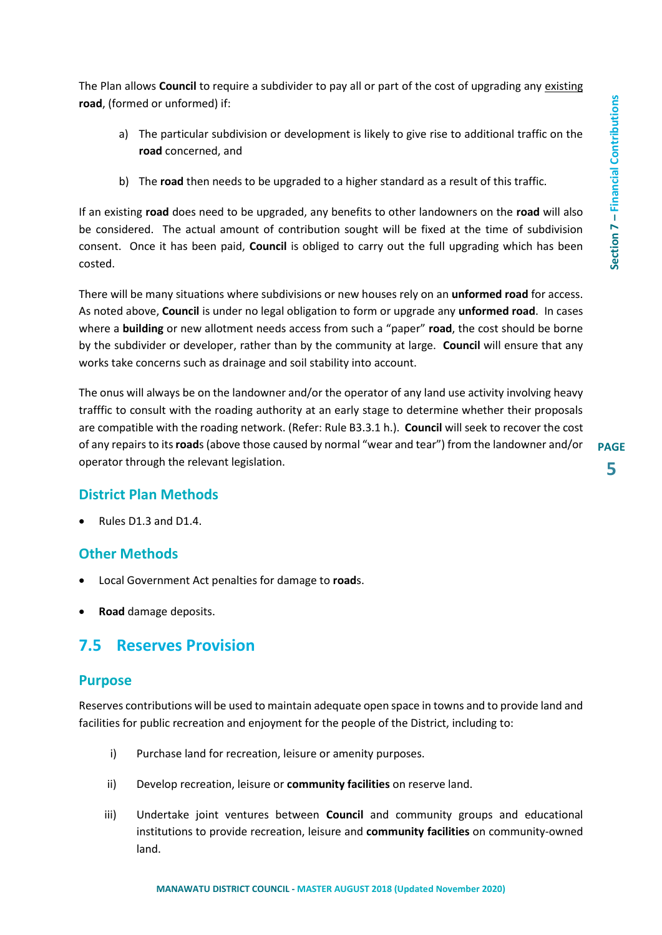The Plan allows **Council** to require a subdivider to pay all or part of the cost of upgrading any existing **road**, (formed or unformed) if:

- a) The particular subdivision or development is likely to give rise to additional traffic on the **road** concerned, and
- b) The **road** then needs to be upgraded to a higher standard as a result of this traffic.

If an existing **road** does need to be upgraded, any benefits to other landowners on the **road** will also be considered. The actual amount of contribution sought will be fixed at the time of subdivision consent. Once it has been paid, **Council** is obliged to carry out the full upgrading which has been costed.

There will be many situations where subdivisions or new houses rely on an **unformed road** for access. As noted above, **Council** is under no legal obligation to form or upgrade any **unformed road**. In cases where a **building** or new allotment needs access from such a "paper" **road**, the cost should be borne by the subdivider or developer, rather than by the community at large. **Council** will ensure that any works take concerns such as drainage and soil stability into account.

The onus will always be on the landowner and/or the operator of any land use activity involving heavy trafffic to consult with the roading authority at an early stage to determine whether their proposals are compatible with the roading network. (Refer: Rule B3.3.1 h.). **Council** will seek to recover the cost of any repairs to its **road**s (above those caused by normal "wear and tear") from the landowner and/or operator through the relevant legislation.

## **District Plan Methods**

• Rules D1.3 and D1.4.

#### **Other Methods**

- Local Government Act penalties for damage to **road**s.
- **Road** damage deposits.

## <span id="page-6-0"></span>**7.5 Reserves Provision**

#### **Purpose**

Reserves contributions will be used to maintain adequate open space in towns and to provide land and facilities for public recreation and enjoyment for the people of the District, including to:

- i) Purchase land for recreation, leisure or amenity purposes.
- ii) Develop recreation, leisure or **community facilities** on reserve land.
- iii) Undertake joint ventures between **Council** and community groups and educational institutions to provide recreation, leisure and **community facilities** on community-owned land.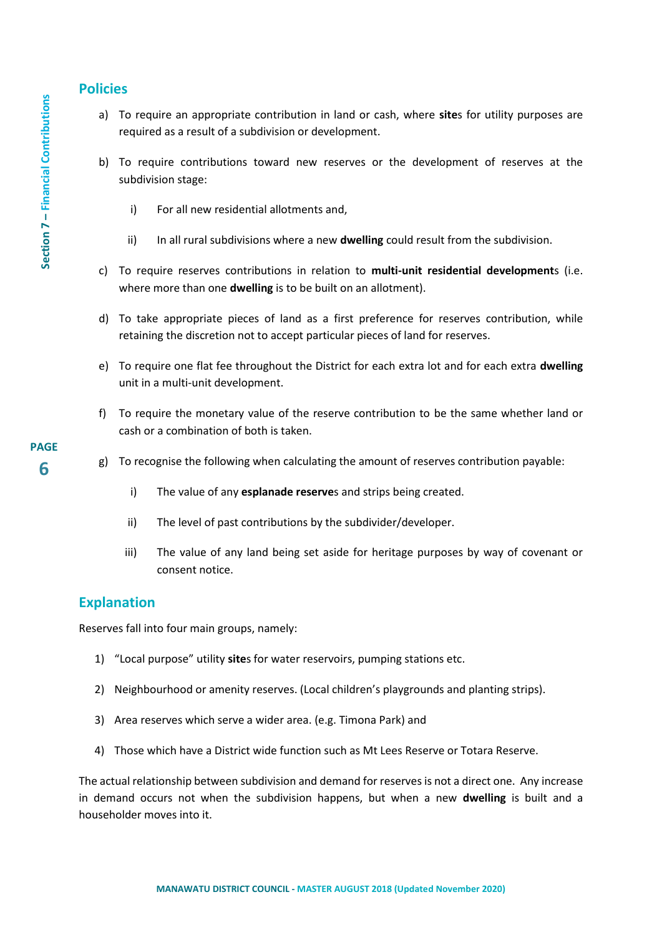#### **Policies**

- a) To require an appropriate contribution in land or cash, where **site**s for utility purposes are required as a result of a subdivision or development.
- b) To require contributions toward new reserves or the development of reserves at the subdivision stage:
	- i) For all new residential allotments and,
	- ii) In all rural subdivisions where a new **dwelling** could result from the subdivision.
- c) To require reserves contributions in relation to **multi-unit residential development**s (i.e. where more than one **dwelling** is to be built on an allotment).
- d) To take appropriate pieces of land as a first preference for reserves contribution, while retaining the discretion not to accept particular pieces of land for reserves.
- e) To require one flat fee throughout the District for each extra lot and for each extra **dwelling** unit in a multi-unit development.
- f) To require the monetary value of the reserve contribution to be the same whether land or cash or a combination of both is taken.
- g) To recognise the following when calculating the amount of reserves contribution payable:
	- i) The value of any **esplanade reserve**s and strips being created.
	- ii) The level of past contributions by the subdivider/developer.
	- iii) The value of any land being set aside for heritage purposes by way of covenant or consent notice.

## **Explanation**

Reserves fall into four main groups, namely:

- 1) "Local purpose" utility **site**s for water reservoirs, pumping stations etc.
- 2) Neighbourhood or amenity reserves. (Local children's playgrounds and planting strips).
- 3) Area reserves which serve a wider area. (e.g. Timona Park) and
- 4) Those which have a District wide function such as Mt Lees Reserve or Totara Reserve.

The actual relationship between subdivision and demand for reserves is not a direct one. Any increase in demand occurs not when the subdivision happens, but when a new **dwelling** is built and a householder moves into it.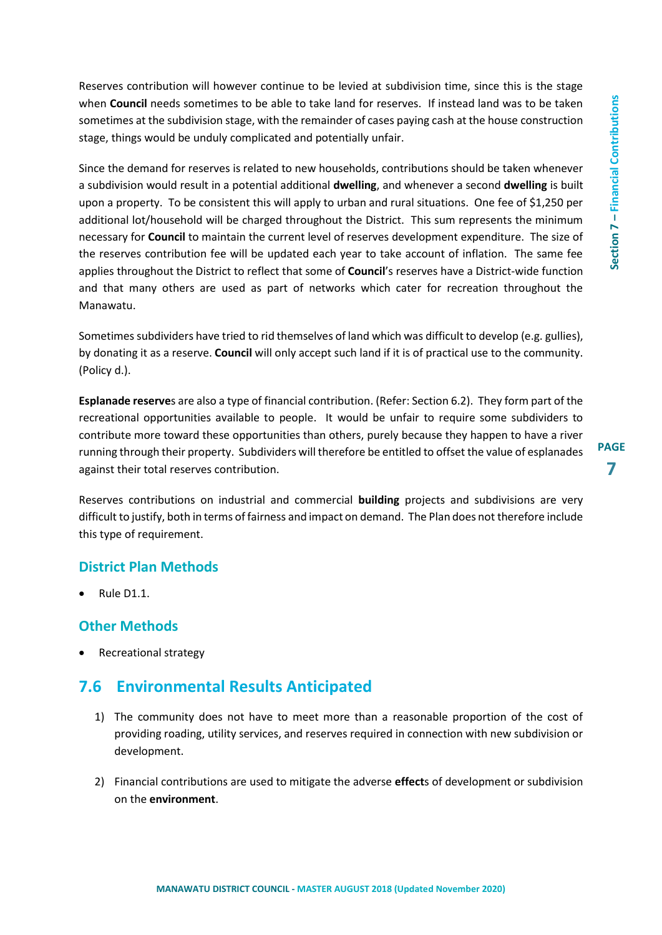Reserves contribution will however continue to be levied at subdivision time, since this is the stage when **Council** needs sometimes to be able to take land for reserves. If instead land was to be taken sometimes at the subdivision stage, with the remainder of cases paying cash at the house construction stage, things would be unduly complicated and potentially unfair.

Since the demand for reserves is related to new households, contributions should be taken whenever a subdivision would result in a potential additional **dwelling**, and whenever a second **dwelling** is built upon a property. To be consistent this will apply to urban and rural situations. One fee of \$1,250 per additional lot/household will be charged throughout the District. This sum represents the minimum necessary for **Council** to maintain the current level of reserves development expenditure. The size of the reserves contribution fee will be updated each year to take account of inflation. The same fee applies throughout the District to reflect that some of **Council**'s reserves have a District-wide function and that many others are used as part of networks which cater for recreation throughout the Manawatu.

Sometimes subdividers have tried to rid themselves of land which was difficult to develop (e.g. gullies), by donating it as a reserve. **Council** will only accept such land if it is of practical use to the community. (Policy d.).

**Esplanade reserve**s are also a type of financial contribution. (Refer: Section 6.2). They form part of the recreational opportunities available to people. It would be unfair to require some subdividers to contribute more toward these opportunities than others, purely because they happen to have a river running through their property. Subdividers will therefore be entitled to offset the value of esplanades against their total reserves contribution.

Reserves contributions on industrial and commercial **building** projects and subdivisions are very difficult to justify, both in terms of fairness and impact on demand. The Plan does not therefore include this type of requirement.

#### **District Plan Methods**

 $\bullet$  Rule D1.1.

#### **Other Methods**

• Recreational strategy

## <span id="page-8-0"></span>**7.6 Environmental Results Anticipated**

- 1) The community does not have to meet more than a reasonable proportion of the cost of providing roading, utility services, and reserves required in connection with new subdivision or development.
- 2) Financial contributions are used to mitigate the adverse **effect**s of development or subdivision on the **environment**.

**MANAWATU DISTRICT COUNCIL - MASTER AUGUST 2018 (Updated November 2020)**